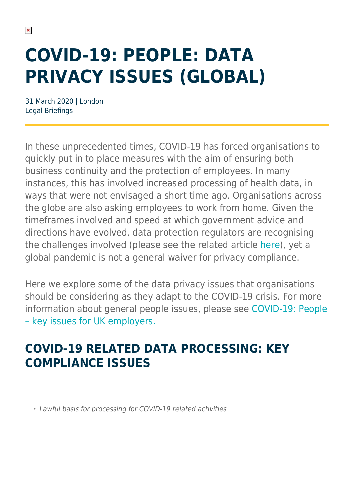# **COVID-19: PEOPLE: DATA PRIVACY ISSUES (GLOBAL)**

31 March 2020 | London Legal Briefings

In these unprecedented times, COVID-19 has forced organisations to quickly put in to place measures with the aim of ensuring both business continuity and the protection of employees. In many instances, this has involved increased processing of health data, in ways that were not envisaged a short time ago. Organisations across the globe are also asking employees to work from home. Given the timeframes involved and speed at which government advice and directions have evolved, data protection regulators are recognising the challenges involved (please see the related article [here\)](https://hsfnotes.com/data/2020/03/18/covid-19-when-public-health-and-privacy-collide/), yet a global pandemic is not a general waiver for privacy compliance.

Here we explore some of the data privacy issues that organisations should be considering as they adapt to the COVID-19 crisis. For more information about general people issues, please see [COVID-19: People](https://www.herbertsmithfreehills.com/latest-thinking/covid-19-people-key-issues-for-uk-employers) [– key issues for UK employers.](https://www.herbertsmithfreehills.com/latest-thinking/covid-19-people-key-issues-for-uk-employers)

## **COVID-19 RELATED DATA PROCESSING: KEY COMPLIANCE ISSUES**

Lawful basis for processing for COVID-19 related activities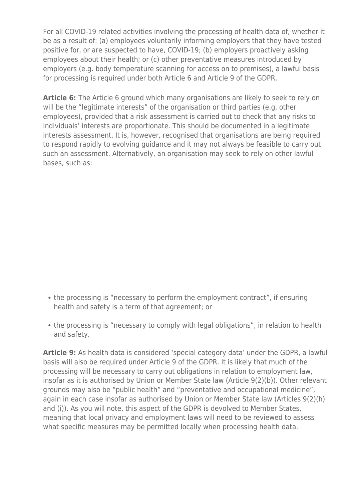For all COVID-19 related activities involving the processing of health data of, whether it be as a result of: (a) employees voluntarily informing employers that they have tested positive for, or are suspected to have, COVID-19; (b) employers proactively asking employees about their health; or (c) other preventative measures introduced by employers (e.g. body temperature scanning for access on to premises), a lawful basis for processing is required under both Article 6 and Article 9 of the GDPR.

**Article 6:** The Article 6 ground which many organisations are likely to seek to rely on will be the "legitimate interests" of the organisation or third parties (e.g. other employees), provided that a risk assessment is carried out to check that any risks to individuals' interests are proportionate. This should be documented in a legitimate interests assessment. It is, however, recognised that organisations are being required to respond rapidly to evolving guidance and it may not always be feasible to carry out such an assessment. Alternatively, an organisation may seek to rely on other lawful bases, such as:

- the processing is "necessary to perform the employment contract", if ensuring health and safety is a term of that agreement; or
- the processing is "necessary to comply with legal obligations", in relation to health and safety.

**Article 9:** As health data is considered 'special category data' under the GDPR, a lawful basis will also be required under Article 9 of the GDPR. It is likely that much of the processing will be necessary to carry out obligations in relation to employment law, insofar as it is authorised by Union or Member State law (Article 9(2)(b)). Other relevant grounds may also be "public health" and "preventative and occupational medicine", again in each case insofar as authorised by Union or Member State law (Articles 9(2)(h) and (i)). As you will note, this aspect of the GDPR is devolved to Member States, meaning that local privacy and employment laws will need to be reviewed to assess what specific measures may be permitted locally when processing health data.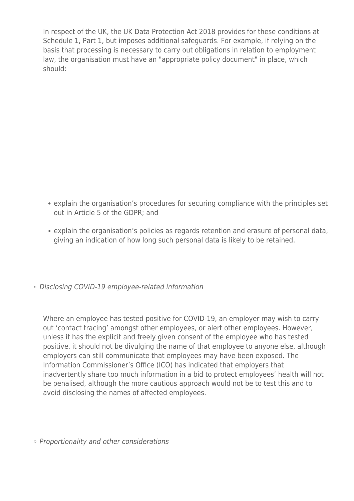In respect of the UK, the UK Data Protection Act 2018 provides for these conditions at Schedule 1, Part 1, but imposes additional safeguards. For example, if relying on the basis that processing is necessary to carry out obligations in relation to employment law, the organisation must have an "appropriate policy document" in place, which should:

- explain the organisation's procedures for securing compliance with the principles set out in Article 5 of the GDPR; and
- explain the organisation's policies as regards retention and erasure of personal data, giving an indication of how long such personal data is likely to be retained.
- Disclosing COVID-19 employee-related information

Where an employee has tested positive for COVID-19, an employer may wish to carry out 'contact tracing' amongst other employees, or alert other employees. However, unless it has the explicit and freely given consent of the employee who has tested positive, it should not be divulging the name of that employee to anyone else, although employers can still communicate that employees may have been exposed. The Information Commissioner's Office (ICO) has indicated that employers that inadvertently share too much information in a bid to protect employees' health will not be penalised, although the more cautious approach would not be to test this and to avoid disclosing the names of affected employees.

◦ Proportionality and other considerations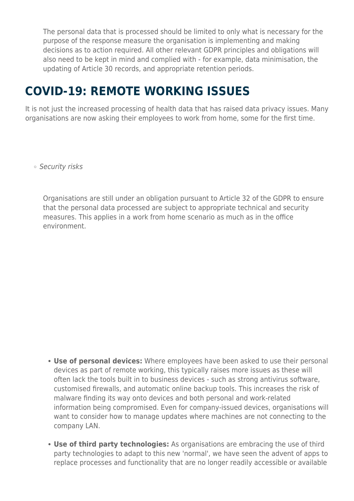The personal data that is processed should be limited to only what is necessary for the purpose of the response measure the organisation is implementing and making decisions as to action required. All other relevant GDPR principles and obligations will also need to be kept in mind and complied with - for example, data minimisation, the updating of Article 30 records, and appropriate retention periods.

## **COVID-19: REMOTE WORKING ISSUES**

It is not just the increased processing of health data that has raised data privacy issues. Many organisations are now asking their employees to work from home, some for the first time.

o Security risks

Organisations are still under an obligation pursuant to Article 32 of the GDPR to ensure that the personal data processed are subject to appropriate technical and security measures. This applies in a work from home scenario as much as in the office environment.

- **Use of personal devices:** Where employees have been asked to use their personal devices as part of remote working, this typically raises more issues as these will often lack the tools built in to business devices - such as strong antivirus software, customised firewalls, and automatic online backup tools. This increases the risk of malware finding its way onto devices and both personal and work-related information being compromised. Even for company-issued devices, organisations will want to consider how to manage updates where machines are not connecting to the company LAN.
- **Use of third party technologies:** As organisations are embracing the use of third party technologies to adapt to this new 'normal', we have seen the advent of apps to replace processes and functionality that are no longer readily accessible or available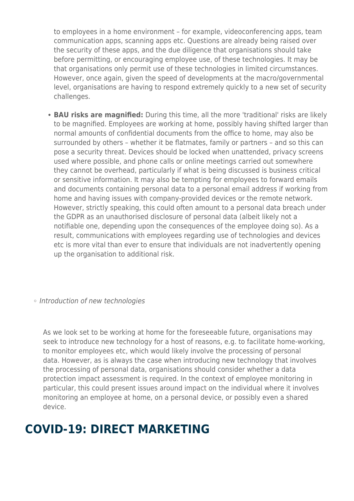to employees in a home environment – for example, videoconferencing apps, team communication apps, scanning apps etc. Questions are already being raised over the security of these apps, and the due diligence that organisations should take before permitting, or encouraging employee use, of these technologies. It may be that organisations only permit use of these technologies in limited circumstances. However, once again, given the speed of developments at the macro/governmental level, organisations are having to respond extremely quickly to a new set of security challenges.

- **BAU risks are magnified:** During this time, all the more 'traditional' risks are likely to be magnified. Employees are working at home, possibly having shifted larger than normal amounts of confidential documents from the office to home, may also be surrounded by others – whether it be flatmates, family or partners – and so this can pose a security threat. Devices should be locked when unattended, privacy screens used where possible, and phone calls or online meetings carried out somewhere they cannot be overhead, particularly if what is being discussed is business critical or sensitive information. It may also be tempting for employees to forward emails and documents containing personal data to a personal email address if working from home and having issues with company-provided devices or the remote network. However, strictly speaking, this could often amount to a personal data breach under the GDPR as an unauthorised disclosure of personal data (albeit likely not a notifiable one, depending upon the consequences of the employee doing so). As a result, communications with employees regarding use of technologies and devices etc is more vital than ever to ensure that individuals are not inadvertently opening up the organisation to additional risk.
- o Introduction of new technologies

As we look set to be working at home for the foreseeable future, organisations may seek to introduce new technology for a host of reasons, e.g. to facilitate home-working, to monitor employees etc, which would likely involve the processing of personal data. However, as is always the case when introducing new technology that involves the processing of personal data, organisations should consider whether a data protection impact assessment is required. In the context of employee monitoring in particular, this could present issues around impact on the individual where it involves monitoring an employee at home, on a personal device, or possibly even a shared device.

#### **COVID-19: DIRECT MARKETING**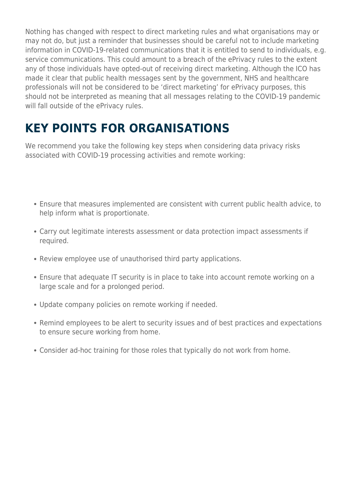Nothing has changed with respect to direct marketing rules and what organisations may or may not do, but just a reminder that businesses should be careful not to include marketing information in COVID-19-related communications that it is entitled to send to individuals, e.g. service communications. This could amount to a breach of the ePrivacy rules to the extent any of those individuals have opted-out of receiving direct marketing. Although the ICO has made it clear that public health messages sent by the government, NHS and healthcare professionals will not be considered to be 'direct marketing' for ePrivacy purposes, this should not be interpreted as meaning that all messages relating to the COVID-19 pandemic will fall outside of the ePrivacy rules.

# **KEY POINTS FOR ORGANISATIONS**

We recommend you take the following key steps when considering data privacy risks associated with COVID-19 processing activities and remote working:

- Ensure that measures implemented are consistent with current public health advice, to help inform what is proportionate.
- Carry out legitimate interests assessment or data protection impact assessments if required.
- Review employee use of unauthorised third party applications.
- Ensure that adequate IT security is in place to take into account remote working on a large scale and for a prolonged period.
- Update company policies on remote working if needed.
- Remind employees to be alert to security issues and of best practices and expectations to ensure secure working from home.
- Consider ad-hoc training for those roles that typically do not work from home.